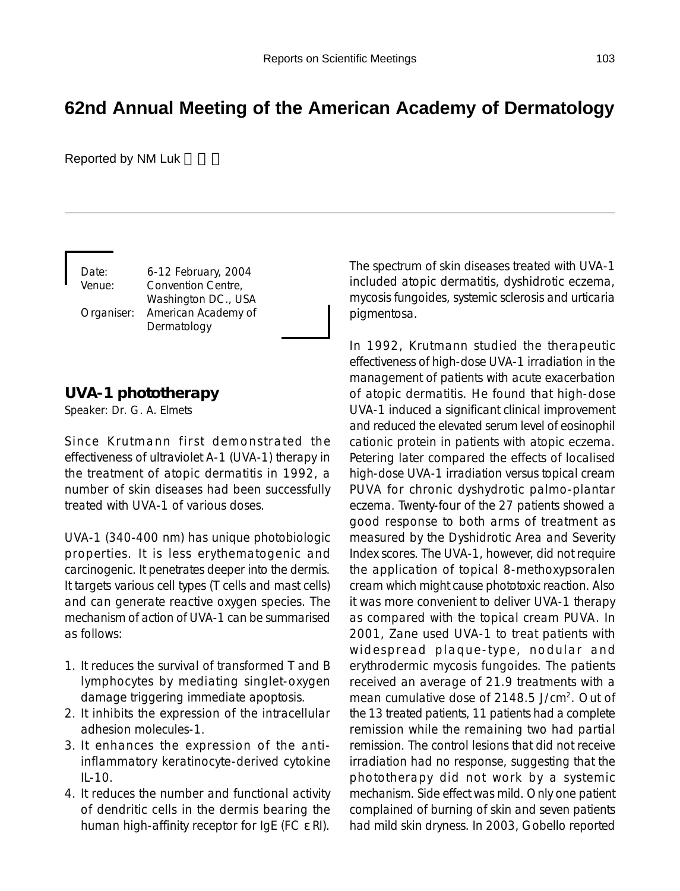# **62nd Annual Meeting of the American Academy of Dermatology**

Reported by NM Luk

Date: 6-12 February, 2004 Venue: Convention Centre, Washington DC., USA Organiser: American Academy of Dermatology

### **UVA-1 phototherapy**

Speaker: Dr. G. A. Elmets

Since Krutmann first demonstrated the effectiveness of ultraviolet A-1 (UVA-1) therapy in the treatment of atopic dermatitis in 1992, a number of skin diseases had been successfully treated with UVA-1 of various doses.

UVA-1 (340-400 nm) has unique photobiologic properties. It is less erythematogenic and carcinogenic. It penetrates deeper into the dermis. It targets various cell types (T cells and mast cells) and can generate reactive oxygen species. The mechanism of action of UVA-1 can be summarised as follows:

- 1. It reduces the survival of transformed T and B lymphocytes by mediating singlet-oxygen damage triggering immediate apoptosis.
- 2. It inhibits the expression of the intracellular adhesion molecules-1.
- 3. It enhances the expression of the antiinflammatory keratinocyte-derived cytokine IL-10.
- 4. It reduces the number and functional activity of dendritic cells in the dermis bearing the human high-affinity receptor for IgE (FC ε RI).

The spectrum of skin diseases treated with UVA-1 included atopic dermatitis, dyshidrotic eczema, mycosis fungoides, systemic sclerosis and urticaria pigmentosa.

In 1992, Krutmann studied the therapeutic effectiveness of high-dose UVA-1 irradiation in the management of patients with acute exacerbation of atopic dermatitis. He found that high-dose UVA-1 induced a significant clinical improvement and reduced the elevated serum level of eosinophil cationic protein in patients with atopic eczema. Petering later compared the effects of localised high-dose UVA-1 irradiation versus topical cream PUVA for chronic dyshydrotic palmo-plantar eczema. Twenty-four of the 27 patients showed a good response to both arms of treatment as measured by the Dyshidrotic Area and Severity Index scores. The UVA-1, however, did not require the application of topical 8-methoxypsoralen cream which might cause phototoxic reaction. Also it was more convenient to deliver UVA-1 therapy as compared with the topical cream PUVA. In 2001, Zane used UVA-1 to treat patients with widespread plaque-type, nodular and erythrodermic mycosis fungoides. The patients received an average of 21.9 treatments with a mean cumulative dose of 2148.5 J/cm<sup>2</sup>. Out of the 13 treated patients, 11 patients had a complete remission while the remaining two had partial remission. The control lesions that did not receive irradiation had no response, suggesting that the phototherapy did not work by a systemic mechanism. Side effect was mild. Only one patient complained of burning of skin and seven patients had mild skin dryness. In 2003, Gobello reported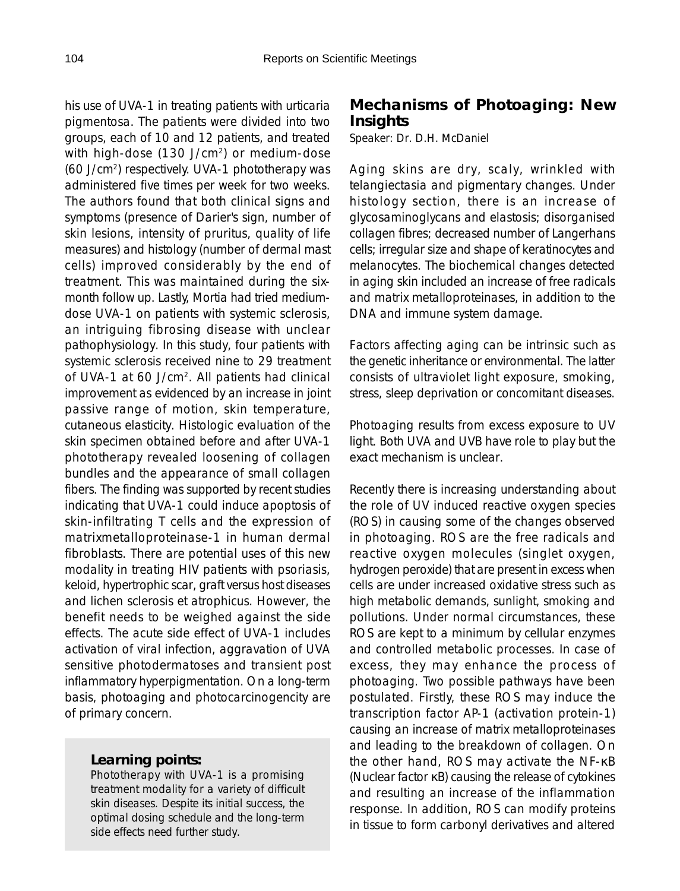his use of UVA-1 in treating patients with urticaria pigmentosa. The patients were divided into two groups, each of 10 and 12 patients, and treated with high-dose (130 J/cm<sup>2</sup>) or medium-dose (60 J/cm2) respectively. UVA-1 phototherapy was administered five times per week for two weeks. The authors found that both clinical signs and symptoms (presence of Darier's sign, number of skin lesions, intensity of pruritus, quality of life measures) and histology (number of dermal mast cells) improved considerably by the end of treatment. This was maintained during the sixmonth follow up. Lastly, Mortia had tried mediumdose UVA-1 on patients with systemic sclerosis, an intriguing fibrosing disease with unclear pathophysiology. In this study, four patients with systemic sclerosis received nine to 29 treatment of UVA-1 at 60 J/cm2. All patients had clinical improvement as evidenced by an increase in joint passive range of motion, skin temperature, cutaneous elasticity. Histologic evaluation of the skin specimen obtained before and after UVA-1 phototherapy revealed loosening of collagen bundles and the appearance of small collagen fibers. The finding was supported by recent studies indicating that UVA-1 could induce apoptosis of skin-infiltrating T cells and the expression of matrixmetalloproteinase-1 in human dermal fibroblasts. There are potential uses of this new modality in treating HIV patients with psoriasis, keloid, hypertrophic scar, graft versus host diseases and lichen sclerosis et atrophicus. However, the benefit needs to be weighed against the side effects. The acute side effect of UVA-1 includes activation of viral infection, aggravation of UVA sensitive photodermatoses and transient post inflammatory hyperpigmentation. On a long-term basis, photoaging and photocarcinogencity are of primary concern.

#### *Learning points:*

Phototherapy with UVA-1 is a promising treatment modality for a variety of difficult skin diseases. Despite its initial success, the optimal dosing schedule and the long-term side effects need further study.

## **Mechanisms of Photoaging: New Insights**

Speaker: Dr. D.H. McDaniel

Aging skins are dry, scaly, wrinkled with telangiectasia and pigmentary changes. Under histology section, there is an increase of glycosaminoglycans and elastosis; disorganised collagen fibres; decreased number of Langerhans cells; irregular size and shape of keratinocytes and melanocytes. The biochemical changes detected in aging skin included an increase of free radicals and matrix metalloproteinases, in addition to the DNA and immune system damage.

Factors affecting aging can be intrinsic such as the genetic inheritance or environmental. The latter consists of ultraviolet light exposure, smoking, stress, sleep deprivation or concomitant diseases.

Photoaging results from excess exposure to UV light. Both UVA and UVB have role to play but the exact mechanism is unclear.

Recently there is increasing understanding about the role of UV induced reactive oxygen species (ROS) in causing some of the changes observed in photoaging. ROS are the free radicals and reactive oxygen molecules (singlet oxygen, hydrogen peroxide) that are present in excess when cells are under increased oxidative stress such as high metabolic demands, sunlight, smoking and pollutions. Under normal circumstances, these ROS are kept to a minimum by cellular enzymes and controlled metabolic processes. In case of excess, they may enhance the process of photoaging. Two possible pathways have been postulated. Firstly, these ROS may induce the transcription factor AP-1 (activation protein-1) causing an increase of matrix metalloproteinases and leading to the breakdown of collagen. On the other hand, ROS may activate the NF-κB (Nuclear factor κB) causing the release of cytokines and resulting an increase of the inflammation response. In addition, ROS can modify proteins in tissue to form carbonyl derivatives and altered